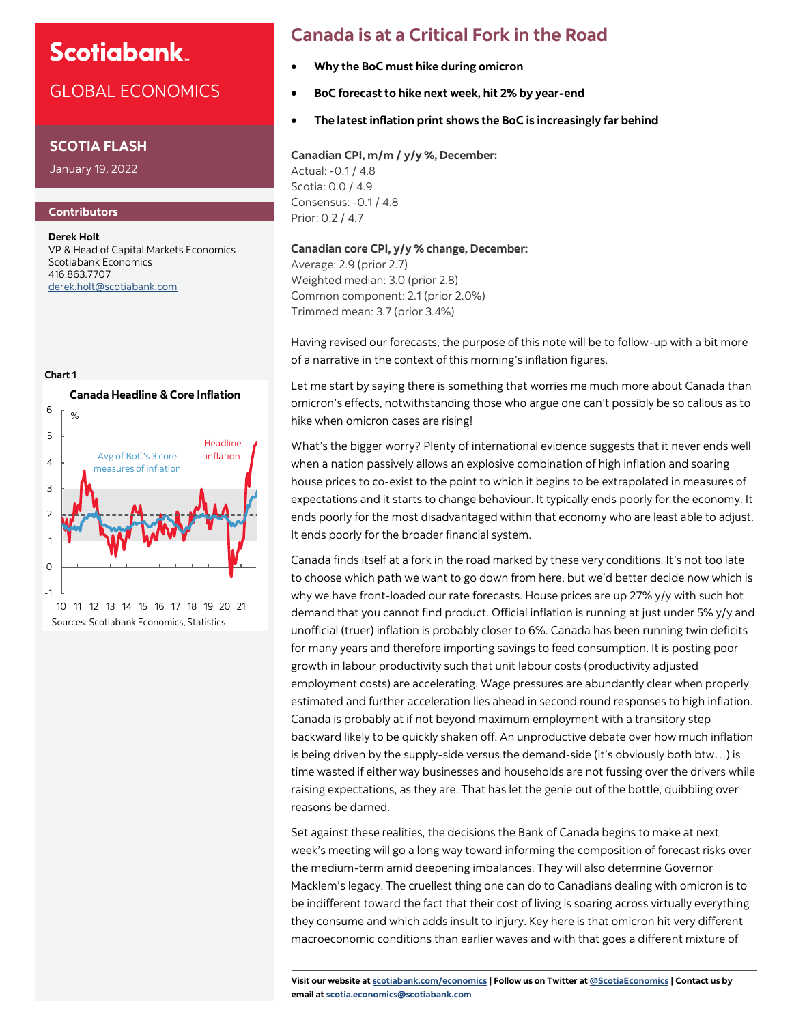## GLOBAL ECONOMICS

### **SCOTIA FLASH**

January 19, 2022

### **Contributors**

0

Canada.

**Derek Holt** VP & Head of Capital Markets Economics Scotiabank Economics 416.863.7707 [derek.holt@scotiabank.com](mailto:derek.holt@scotiabank.com)



-1 10 11 12 13 14 15 16 17 18 19 20 21 Sources: Scotiabank Economics, Statistics

# **Canada is at a Critical Fork in the Road**

- **Why the BoC must hike during omicron**
- **BoC forecast to hike next week, hit 2% by year-end**
- **The latest inflation print shows the BoC is increasingly far behind**

**Canadian CPI, m/m / y/y %, December:** Actual: -0.1 / 4.8 Scotia: 0.0 / 4.9 Consensus: -0.1 / 4.8 Prior: 0.2 / 4.7

### **Canadian core CPI, y/y % change, December:**

Average: 2.9 (prior 2.7) Weighted median: 3.0 (prior 2.8) Common component: 2.1 (prior 2.0%) Trimmed mean: 3.7 (prior 3.4%)

Having revised our forecasts, the purpose of this note will be to follow-up with a bit more of a narrative in the context of this morning's inflation figures.

Let me start by saying there is something that worries me much more about Canada than omicron's effects, notwithstanding those who argue one can't possibly be so callous as to hike when omicron cases are rising!

What's the bigger worry? Plenty of international evidence suggests that it never ends well when a nation passively allows an explosive combination of high inflation and soaring house prices to co-exist to the point to which it begins to be extrapolated in measures of expectations and it starts to change behaviour. It typically ends poorly for the economy. It ends poorly for the most disadvantaged within that economy who are least able to adjust. It ends poorly for the broader financial system.

Canada finds itself at a fork in the road marked by these very conditions. It's not too late to choose which path we want to go down from here, but we'd better decide now which is why we have front-loaded our rate forecasts. House prices are up 27% y/y with such hot demand that you cannot find product. Official inflation is running at just under 5% y/y and unofficial (truer) inflation is probably closer to 6%. Canada has been running twin deficits for many years and therefore importing savings to feed consumption. It is posting poor growth in labour productivity such that unit labour costs (productivity adjusted employment costs) are accelerating. Wage pressures are abundantly clear when properly estimated and further acceleration lies ahead in second round responses to high inflation. Canada is probably at if not beyond maximum employment with a transitory step backward likely to be quickly shaken off. An unproductive debate over how much inflation is being driven by the supply-side versus the demand-side (it's obviously both btw…) is time wasted if either way businesses and households are not fussing over the drivers while raising expectations, as they are. That has let the genie out of the bottle, quibbling over reasons be darned.

Set against these realities, the decisions the Bank of Canada begins to make at next week's meeting will go a long way toward informing the composition of forecast risks over the medium-term amid deepening imbalances. They will also determine Governor Macklem's legacy. The cruellest thing one can do to Canadians dealing with omicron is to be indifferent toward the fact that their cost of living is soaring across virtually everything they consume and which adds insult to injury. Key here is that omicron hit very different macroeconomic conditions than earlier waves and with that goes a different mixture of

**Visit our website at [scotiabank.com/economics](https://www.scotiabank.com/ca/en/about/global-economics/economics-publications.html) | Follow us on Twitter at [@ScotiaEconomics](https://twitter.com/ScotiaEconomics) | Contact us by email at scotia.economics@scotiabank.com**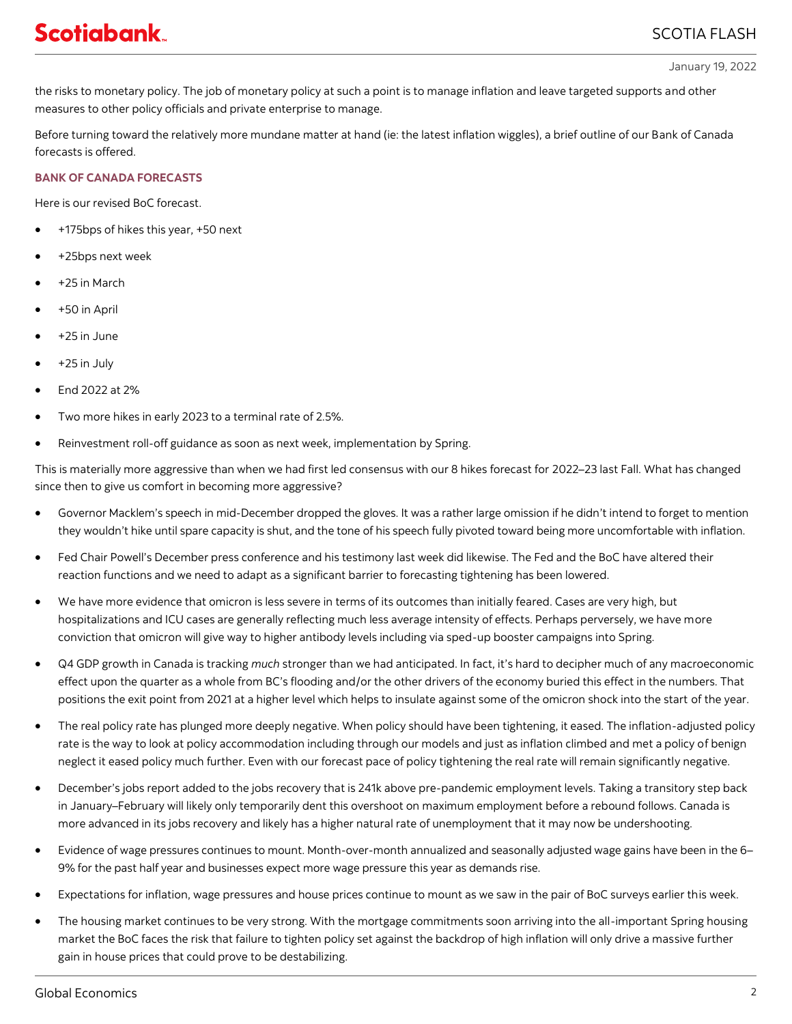the risks to monetary policy. The job of monetary policy at such a point is to manage inflation and leave targeted supports and other measures to other policy officials and private enterprise to manage.

Before turning toward the relatively more mundane matter at hand (ie: the latest inflation wiggles), a brief outline of our Bank of Canada forecasts is offered.

### **BANK OF CANADA FORECASTS**

Here is our revised BoC forecast.

- +175bps of hikes this year, +50 next
- +25bps next week
- +25 in March
- +50 in April
- $+25$  in June
- $\bullet$  +25 in July
- End 2022 at 2%
- Two more hikes in early 2023 to a terminal rate of 2.5%.
- Reinvestment roll-off guidance as soon as next week, implementation by Spring.

This is materially more aggressive than when we had first led consensus with our 8 hikes forecast for 2022–23 last Fall. What has changed since then to give us comfort in becoming more aggressive?

- Governor Macklem's speech in mid-December dropped the gloves. It was a rather large omission if he didn't intend to forget to mention they wouldn't hike until spare capacity is shut, and the tone of his speech fully pivoted toward being more uncomfortable with inflation.
- Fed Chair Powell's December press conference and his testimony last week did likewise. The Fed and the BoC have altered their reaction functions and we need to adapt as a significant barrier to forecasting tightening has been lowered.
- We have more evidence that omicron is less severe in terms of its outcomes than initially feared. Cases are very high, but hospitalizations and ICU cases are generally reflecting much less average intensity of effects. Perhaps perversely, we have more conviction that omicron will give way to higher antibody levels including via sped-up booster campaigns into Spring.
- Q4 GDP growth in Canada is tracking *much* stronger than we had anticipated. In fact, it's hard to decipher much of any macroeconomic effect upon the quarter as a whole from BC's flooding and/or the other drivers of the economy buried this effect in the numbers. That positions the exit point from 2021 at a higher level which helps to insulate against some of the omicron shock into the start of the year.
- The real policy rate has plunged more deeply negative. When policy should have been tightening, it eased. The inflation-adjusted policy rate is the way to look at policy accommodation including through our models and just as inflation climbed and met a policy of benign neglect it eased policy much further. Even with our forecast pace of policy tightening the real rate will remain significantly negative.
- December's jobs report added to the jobs recovery that is 241k above pre-pandemic employment levels. Taking a transitory step back in January–February will likely only temporarily dent this overshoot on maximum employment before a rebound follows. Canada is more advanced in its jobs recovery and likely has a higher natural rate of unemployment that it may now be undershooting.
- Evidence of wage pressures continues to mount. Month-over-month annualized and seasonally adjusted wage gains have been in the 6– 9% for the past half year and businesses expect more wage pressure this year as demands rise.
- Expectations for inflation, wage pressures and house prices continue to mount as we saw in the pair of BoC surveys earlier this week.
- The housing market continues to be very strong. With the mortgage commitments soon arriving into the all-important Spring housing market the BoC faces the risk that failure to tighten policy set against the backdrop of high inflation will only drive a massive further gain in house prices that could prove to be destabilizing.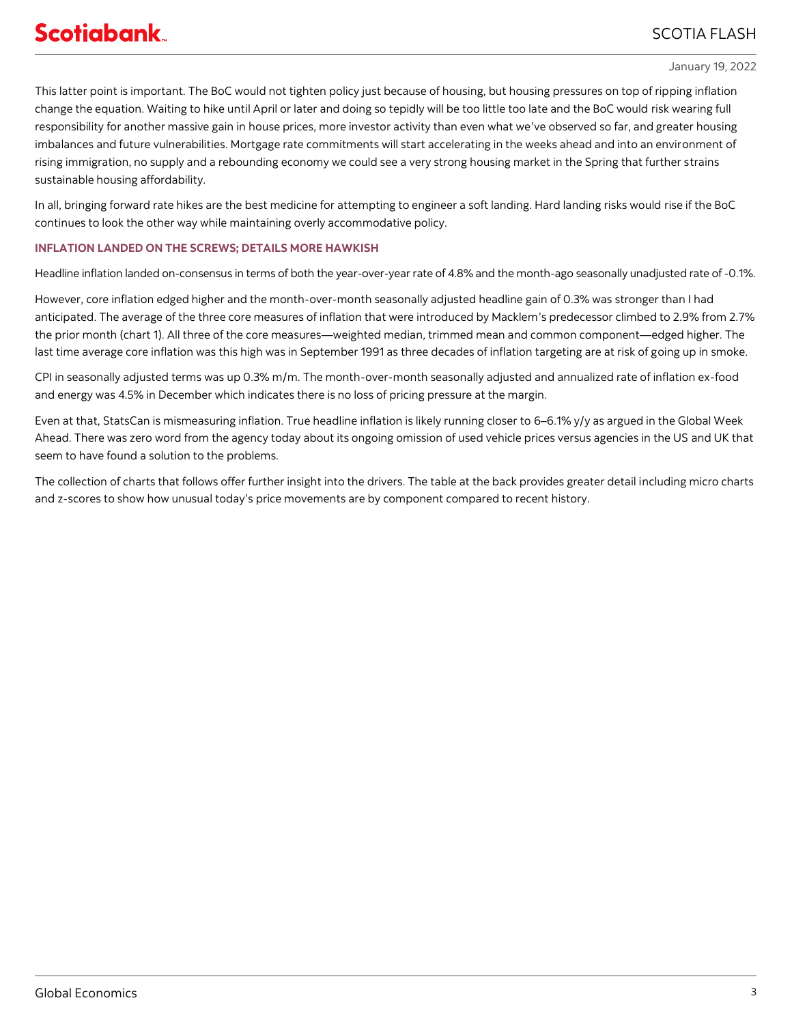### SCOTIA FLASH

#### January 19, 2022

This latter point is important. The BoC would not tighten policy just because of housing, but housing pressures on top of ripping inflation change the equation. Waiting to hike until April or later and doing so tepidly will be too little too late and the BoC would risk wearing full responsibility for another massive gain in house prices, more investor activity than even what we've observed so far, and greater housing imbalances and future vulnerabilities. Mortgage rate commitments will start accelerating in the weeks ahead and into an environment of rising immigration, no supply and a rebounding economy we could see a very strong housing market in the Spring that further strains sustainable housing affordability.

In all, bringing forward rate hikes are the best medicine for attempting to engineer a soft landing. Hard landing risks would rise if the BoC continues to look the other way while maintaining overly accommodative policy.

### **INFLATION LANDED ON THE SCREWS; DETAILS MORE HAWKISH**

Headline inflation landed on-consensus in terms of both the year-over-year rate of 4.8% and the month-ago seasonally unadjusted rate of -0.1%.

However, core inflation edged higher and the month-over-month seasonally adjusted headline gain of 0.3% was stronger than I had anticipated. The average of the three core measures of inflation that were introduced by Macklem's predecessor climbed to 2.9% from 2.7% the prior month (chart 1). All three of the core measures—weighted median, trimmed mean and common component—edged higher. The last time average core inflation was this high was in September 1991 as three decades of inflation targeting are at risk of going up in smoke.

CPI in seasonally adjusted terms was up 0.3% m/m. The month-over-month seasonally adjusted and annualized rate of inflation ex-food and energy was 4.5% in December which indicates there is no loss of pricing pressure at the margin.

Even at that, StatsCan is mismeasuring inflation. True headline inflation is likely running closer to 6–6.1% y/y as argued in the Global Week Ahead. There was zero word from the agency today about its ongoing omission of used vehicle prices versus agencies in the US and UK that seem to have found a solution to the problems.

The collection of charts that follows offer further insight into the drivers. The table at the back provides greater detail including micro charts and z-scores to show how unusual today's price movements are by component compared to recent history.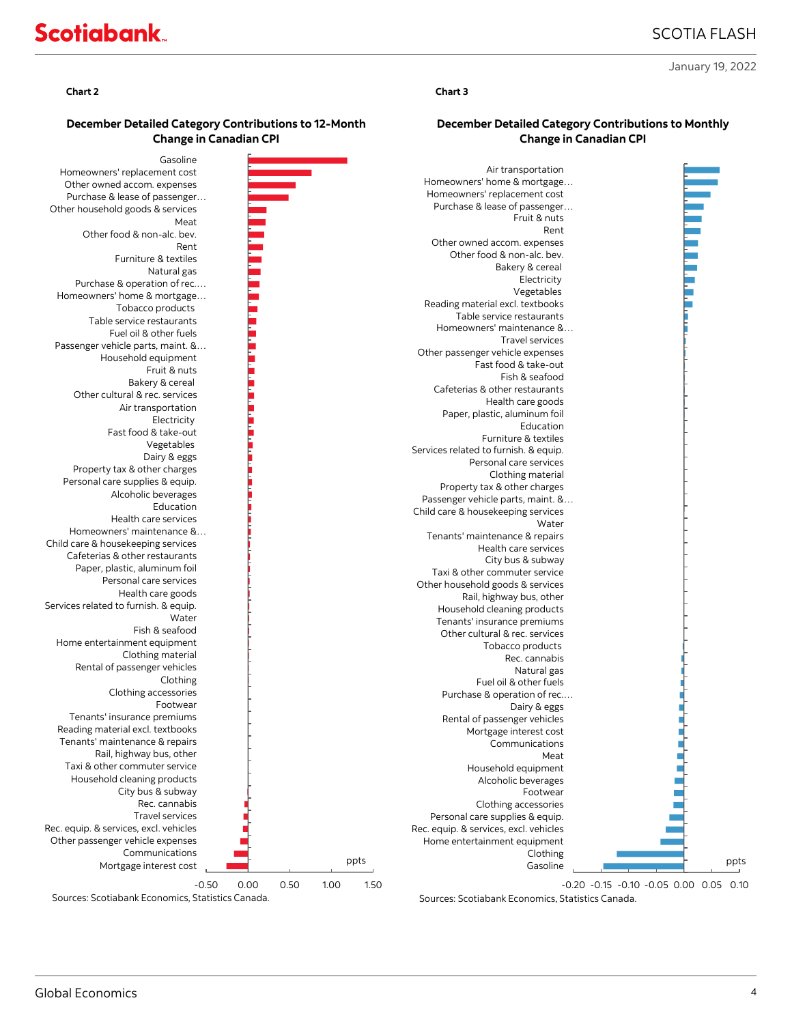### SCOTIA FLASH

January 19, 2022

### **December Detailed Category Contributions to 12-Month Change in Canadian CPI**



#### **Chart 2 Chart 3**

### **December Detailed Category Contributions to Monthly Change in Canadian CPI**

| Air transportation                     |      |
|----------------------------------------|------|
| Homeowners' home & mortgage            |      |
| Homeowners' replacement cost           |      |
|                                        |      |
| Purchase & lease of passenger          |      |
| Fruit & nuts                           |      |
| Rent                                   |      |
| Other owned accom. expenses            |      |
| Other food & non-alc. bev.             |      |
| Bakery & cereal                        |      |
| Electricity                            |      |
| Vegetables                             |      |
| Reading material excl. textbooks       |      |
| Table service restaurants              |      |
|                                        |      |
| Homeowners' maintenance &              |      |
| <b>Travel services</b>                 |      |
| Other passenger vehicle expenses       |      |
| Fast food & take-out                   |      |
| Fish & seafood                         |      |
| Cafeterias & other restaurants         |      |
| Health care goods                      |      |
| Paper, plastic, aluminum foil          |      |
| Education                              |      |
| Furniture & textiles                   |      |
| Services related to furnish. & equip.  |      |
| Personal care services                 |      |
|                                        |      |
| Clothing material                      |      |
| Property tax & other charges           |      |
| Passenger vehicle parts, maint. &      |      |
| Child care & housekeeping services     |      |
| Water                                  |      |
| Tenants' maintenance & repairs         |      |
| Health care services                   |      |
| City bus & subway                      |      |
| Taxi & other commuter service          |      |
| Other household goods & services       |      |
| Rail, highway bus, other               |      |
|                                        |      |
| Household cleaning products            |      |
| Tenants' insurance premiums            |      |
| Other cultural & rec. services         |      |
| Tobacco products                       |      |
| Rec. cannabis                          |      |
| Natural gas                            |      |
| Fuel oil & other fuels                 |      |
| Purchase & operation of rec            |      |
| Dairy & eggs                           |      |
| Rental of passenger vehicles           |      |
| Mortgage interest cost                 |      |
| Communications                         |      |
| Meat                                   |      |
| Household equipment                    |      |
|                                        |      |
| Alcoholic beverages                    |      |
| Footwear                               |      |
| Clothing accessories                   |      |
| Personal care supplies & equip.        |      |
| Rec. equip. & services, excl. vehicles |      |
| Home entertainment equipment           |      |
| Clothing                               |      |
| Gasoline                               | ppts |
|                                        |      |

-0.20 -0.15 -0.10 -0.05 0.00 0.05 0.10 Sources: Scotiabank Economics, Statistics Canada.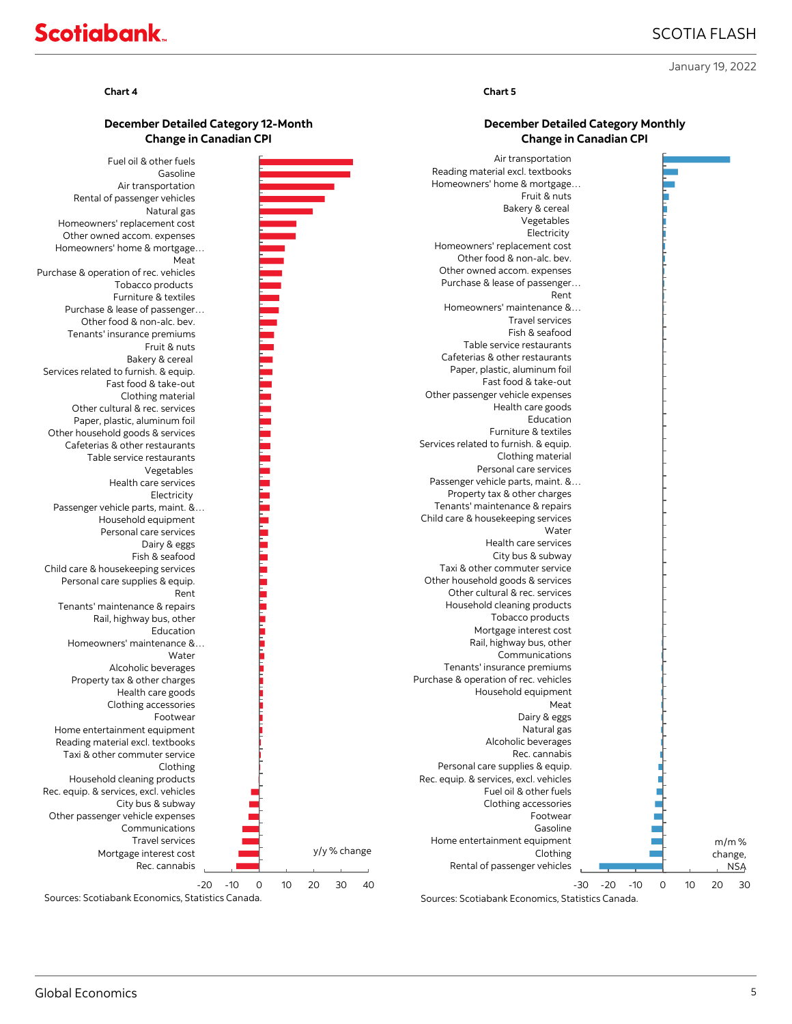### SCOTIA FLASH

**December Detailed Category Monthly Change in Canadian CPI**

January 19, 2022

# **Scotiabank**

#### **Chart 4 Chart 5**

### **December Detailed Category 12-Month Change in Canadian CPI**



Sources: Scotiabank Economics, Statistics Canada.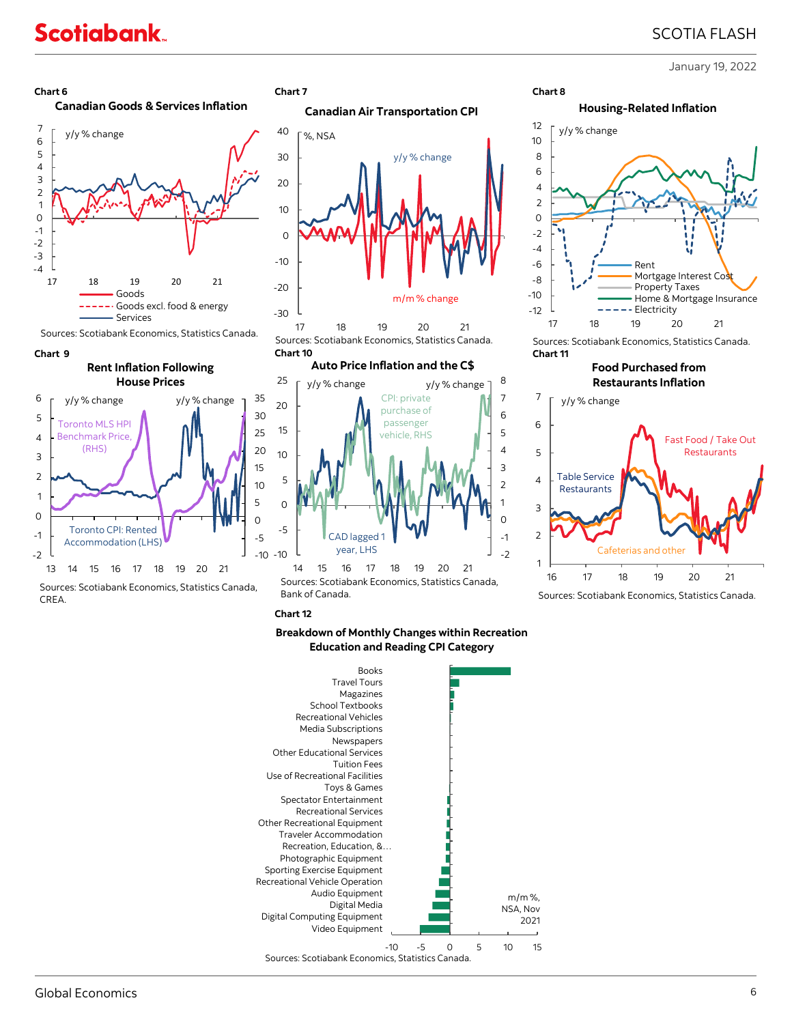### SCOTIA FLASH

January 19, 2022





Sources: Scotiabank Economics, Statistics Canada.



### **Rent Inflation Following House Prices**



Sources: Scotiabank Economics, Statistics Canada, CREA.





17 18 19 20 21 Sources: Scotiabank Economics, Statistics Canada. **Chart 9 Chart 10 Chart 11** 

### **Auto Price Inflation and the C\$**



Sources: Scotiabank Economics, Statistics Canada, Bank of Canada.

**Chart 12**

### **Breakdown of Monthly Changes within Recreation Education and Reading CPI Category**



-12  $-10$ -8 -6 -4 -2 0 2 4 6 8 10 12 Rent Mortgage Interest Co Property Taxes Home & Mortgage Insurance Electricity y/y % change **Housing-Related Inflation**



#### **Food Purchased from Restaurants Inflation**



Sources: Scotiabank Economics, Statistics Canada.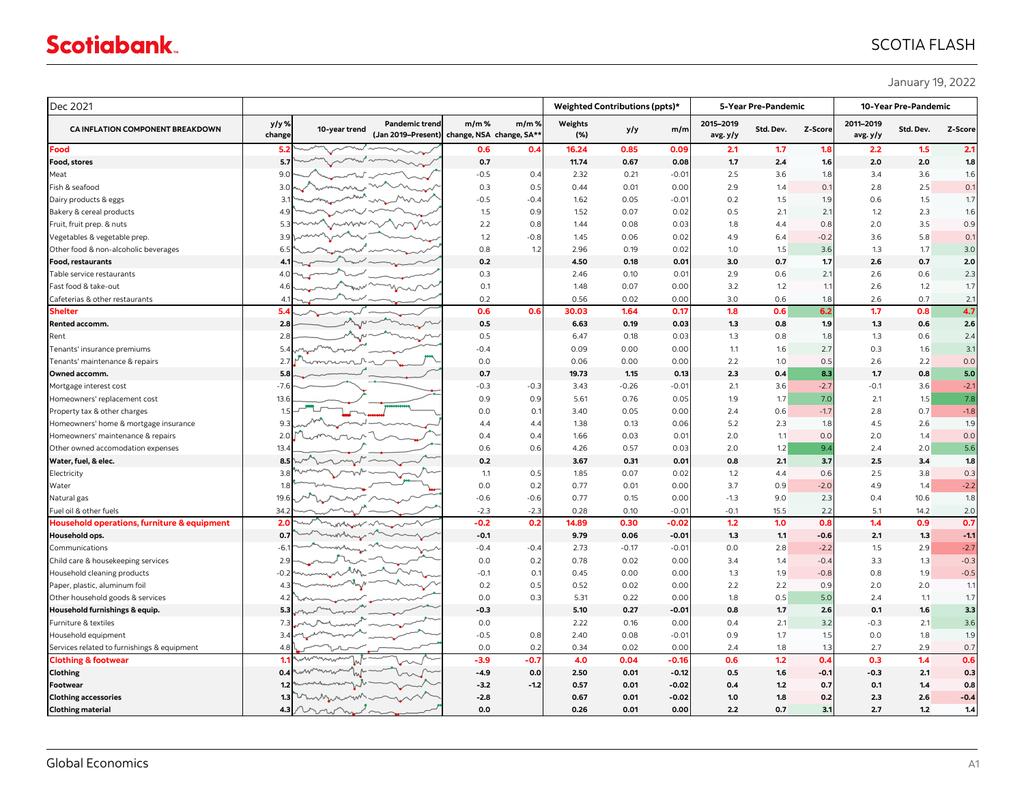## SCOTIA FLASH

January 19, 2022

| Dec 2021                                    |                 |                             |                                                                     |         | Weighted Contributions (ppts)* |                | 5-Year Pre-Pandemic |                |                       | 10-Year Pre-Pandemic |                  |                       |           |         |
|---------------------------------------------|-----------------|-----------------------------|---------------------------------------------------------------------|---------|--------------------------------|----------------|---------------------|----------------|-----------------------|----------------------|------------------|-----------------------|-----------|---------|
| CA INFLATION COMPONENT BREAKDOWN            | y/y %<br>change | 10-year trend               | <b>Pandemic trend</b><br>(Jan 2019-Present) change, NSA change, SA* | $m/m$ % | m/m%                           | Weights<br>(%) | y/y                 | m/m            | 2015-2019<br>avg. y/y | Std. Dev.            | Z-Score          | 2011-2019<br>avg. y/y | Std. Dev. | Z-Score |
| Food                                        | 5.2             |                             |                                                                     | 0.6     | 0.4                            | 16.24          | 0.85                | 0.09           | 2.1                   | 1.7                  | 1.8              | 2.2                   | 1.5       | 2.1     |
| Food, stores                                | 5.7             |                             |                                                                     | 0.7     |                                | 11.74          | 0.67                | 0.08           | 1.7                   | 2.4                  | 1.6              | 2.0                   | 2.0       | 1.8     |
| Meat                                        | 9 <sub>c</sub>  |                             |                                                                     | $-0.5$  | 0.4                            | 2.32           | 0.21                | $-0.0^{\circ}$ | 2.5                   | 3.6                  | 1.8              | 3.4                   | 3.6       | 1.6     |
| Fish & seafood                              | 3.0             | A                           |                                                                     | 0.3     | 0.5                            | 0.44           | 0.01                | 0.0C           | 2.9                   | 1.4                  | $\mathsf{O}.$    | 2.8                   | 2.5       | 0.1     |
| Dairy products & eggs                       | 3.1             |                             |                                                                     | $-0.5$  | $-0.4$                         | 1.62           | 0.05                | $-0.01$        | 0.2                   | 1.5                  | 1.9              | 0.6                   | 1.5       | 1.7     |
| Bakery & cereal products                    | 4.9             |                             |                                                                     | 1.5     | 0.9                            | 1.52           | 0.07                | 0.02           | 0.5                   | 2.1                  | 2.1              | 1.2                   | 2.3       | 1.6     |
| Fruit, fruit prep. & nuts                   | 5.3             |                             |                                                                     | 2.2     | 0.8                            | 1.44           | 0.08                | 0.03           | 1.8                   | 4.4                  | 0.8              | 2.0                   | 3.5       | 0.9     |
| Vegetables & vegetable prep.                | 3.9             |                             |                                                                     | 1.2     | $-0.8$                         | 1.45           | 0.06                | 0.02           | 4.9                   | 6.4                  | $-0.2$           | 3.6                   | 5.8       | 0.1     |
| Other food & non-alcoholic beverages        | 6.5             |                             |                                                                     | 0.8     | 1.2                            | 2.96           | 0.19                | 0.02           | 1.0                   | 1.5                  | 3.6              | 1.3                   | 1.7       | 3.0     |
| <b>Food, restaurants</b>                    | $\mathbf{A}$ .  |                             |                                                                     | 0.2     |                                | 4.50           | 0.18                | 0.01           | 3.0                   | 0.7                  | 1.7              | 2.6                   | 0.7       | 2.0     |
| Table service restaurants                   | 4(              |                             |                                                                     | 0.3     |                                | 2.46           | 0.10                | 0.01           | 2.9                   | 0.6                  | 2.1              | 2.6                   | 0.6       | 2.3     |
| Fast food & take-out                        | 4.6             |                             |                                                                     | 0.1     |                                | 1.48           | 0.07                | 0.00           | 3.2                   | 1.2                  | $\overline{1}$ . | 2.6                   | 1.2       | 1.7     |
| Cafeterias & other restaurants              | 4.1             |                             |                                                                     | 0.2     |                                | 0.56           | 0.02                | 0.0C           | 3.0                   | 0.6                  | 1.8              | 2.6                   | 0.7       | 2.1     |
| <b>Shelter</b>                              | 5.4             |                             |                                                                     | 0.6     | 0.6                            | 30.03          | 1.64                | 0.17           | 1.8                   | 0.6                  | 6.2              | 1.7                   | 0.8       | 4.7     |
| Rented accomm.                              | 2.8             |                             |                                                                     | 0.5     |                                | 6.63           | 0.19                | 0.03           | 1.3                   | 0.8                  | 1.9              | 1.3                   | 0.6       | 2.6     |
| Rent                                        | 2.8             |                             |                                                                     | 0.5     |                                | 6.47           | 0.18                | 0.03           | 1.3                   | 0.8                  | 1.8              | 1.3                   | 0.6       | 2.4     |
| Tenants' insurance premiums                 | 5.4             |                             |                                                                     | $-0.4$  |                                | 0.09           | 0.00                | 0.00           | 1.1                   | 1.6                  | 2.7              | 0.3                   | 1.6       | 3.1     |
| Tenants' maintenance & repairs              | 2.7             | $\sim$                      |                                                                     | 0.0     |                                | 0.06           | 0.00                | 0.00           | 2.2                   | 1.0                  | 0.5              | 2.6                   | 2.2       | 0.0     |
| Owned accomm.                               | 5.8             |                             |                                                                     | 0.7     |                                | 19.73          | 1.15                | 0.13           | 2.3                   | 0.4                  | 8.3              | 1.7                   | 0.8       | 5.0     |
| Mortgage interest cost                      | $-7.6$          |                             |                                                                     | $-0.3$  | $-0.3$                         | 3.43           | $-0.26$             | $-0.01$        | 2.1                   | 3.6                  | $-2.7$           | $-0.1$                | 3.6       | $-2.1$  |
| Homeowners' replacement cost                | 13.6            |                             |                                                                     | 0.9     | 0.9                            | 5.61           | 0.76                | 0.05           | 1.9                   | 1.7                  | 7.0              | 2.1                   | 1.5       | 7.8     |
| Property tax & other charges                | 1 <sup>t</sup>  |                             |                                                                     | 0.0     | 0.1                            | 3.40           | 0.05                | 0.00           | 2.4                   | 0.6                  | $-1.7$           | 2.8                   | 0.7       | $-1.8$  |
| Homeowners' home & mortgage insurance       | 9.3             |                             |                                                                     | 4.4     | 4.4                            | 1.38           | 0.13                | 0.06           | 5.2                   | 2.3                  | 1.8              | 4.5                   | 2.6       | 1.9     |
| Homeowners' maintenance & repairs           | 2.0             |                             |                                                                     | 0.4     | 0.4                            | 1.66           | 0.03                | $0.0^{\circ}$  | 2.0                   | 1.1                  | 0.0              | 2.0                   | 1.4       | 0.0     |
| Other owned accomodation expenses           | 13.4            |                             |                                                                     | 0.6     | 0.6                            | 4.26           | 0.57                | 0.03           | 2.0                   | 1.2                  | 9.4              | 2.4                   | 2.0       | 5.6     |
| Water, fuel, & elec.                        | 8.5             |                             |                                                                     | 0.2     |                                | 3.67           | 0.31                | 0.01           | 0.8                   | 2.1                  | 3.7              | 2.5                   | 3.4       | 1.8     |
| Electricity                                 | 3.8             |                             |                                                                     | 1.1     | 0.5                            | 1.85           | 0.07                | 0.02           | 1.2                   | 4.4                  | 0.6              | 2.5                   | 3.8       | 0.3     |
| Water                                       | 1.8             |                             |                                                                     | 0.0     | 0.2                            | 0.77           | 0.01                | 0.00           | 3.7                   | 0.9                  | $-2.0$           | 4.9                   | 1.4       | $-2.2$  |
| Natural gas                                 | 19.6            |                             |                                                                     | $-0.6$  | $-0.6$                         | 0.77           | 0.15                | 0.0C           | $-1.3$                | 9.0                  | 2.3              | 0.4                   | 10.6      | 1.8     |
| Fuel oil & other fuels                      | 34.2            |                             |                                                                     | $-2.3$  | $-2.3$                         | 0.28           | 0.10                | $-0.0^{\circ}$ | $-0.1$                | 15.5                 | 2.2              | 5.1                   | 14.2      | 2.0     |
| Household operations, furniture & equipment | 2.0             |                             |                                                                     | $-0.2$  | 0.2                            | 14.89          | 0.30                | $-0.02$        | 1.2                   | 1.0                  | 0.8              | 1.4                   | 0.9       | 0.7     |
| Household ops.                              | 0.7             | montany                     |                                                                     | $-0.1$  |                                | 9.79           | 0.06                | -0.01          | 1.3                   | 1.1                  | $-0.6$           | 2.1                   | 1.3       | $-1.1$  |
| Communications                              | -6.             | mu                          |                                                                     | $-0.4$  | $-0.4$                         | 2.73           | $-0.17$             | $-0.02$        | 0.0                   | 2.8                  | $-2.2$           | 1.5                   | 2.9       | $-2.7$  |
| Child care & housekeeping services          | 2.9             |                             |                                                                     | 0.0     | 0.2                            | 0.78           | 0.02                | 0.00           | 3.4                   | 1.4                  | $-0.4$           | 3.3                   | 1.3       | $-0.3$  |
| Household cleaning products                 | $-0.2$          |                             |                                                                     | $-0.1$  | 0.1                            | 0.45           | 0.00                | 0.0C           | 1.3                   | 1.9                  | $-0.8$           | 0.8                   | 1.9       | $-0.5$  |
| Paper, plastic, aluminum foil               | 4.3             |                             |                                                                     | 0.2     | 0.5                            | 0.52           | 0.02                | 0.00           | 2.2                   | 2.2                  | 0.9              | 2.0                   | 2.0       | 1.1     |
| Other household goods & services            | 4.2             |                             |                                                                     | 0.0     | 0.3                            | 5.31           | 0.22                | 0.0C           | 1.8                   | 0.5                  | 5.0              | 2.4                   | 1.1       | 1.7     |
| Household furnishings & equip.              | 5.3             |                             |                                                                     | $-0.3$  |                                | 5.10           | 0.27                | -0.01          | 0.8                   | 1.7                  | 2.6              | 0.1                   | 1.6       | 3.3     |
| Furniture & textiles                        | 73              |                             |                                                                     | 0.0     |                                | 2.22           | 0.16                | 0.0C           | 0.4                   | 2.1                  | 3.2              | $-0.3$                | 2.1       | 3.6     |
| Household equipment                         | 3.4             |                             |                                                                     | $-0.5$  | 0.8                            | 2.40           | 0.08                | $-0.02$        | 0.9                   | 1.7                  | 1.5              | 0.0                   | 1.8       | 1.9     |
| Services related to furnishings & equipment | 4.8             |                             |                                                                     | 0.0     | 0.2                            | 0.34           | 0.02                | 0.0C           | 2.4                   | 1.8                  | 1.3              | 2.7                   | 2.9       | 0.7     |
| Clothing & footwear                         | 1.1             |                             |                                                                     | $-3.9$  | $-0.7$                         | 4.0            | 0.04                | $-0.16$        | 0.6                   | 1.2                  | 0.4              | 0.3                   | 1.4       | 0.6     |
| Clothing                                    | 0.4             |                             |                                                                     | $-4.9$  | 0.0                            | 2.50           | 0.01                | $-0.12$        | 0.5                   | 1.6                  | $-0.2$           | $-0.3$                | 2.1       | 0.3     |
| Footwear                                    | 1.2             |                             |                                                                     | $-3.2$  | $-1.2$                         | 0.57           | 0.01                | $-0.02$        | 0.4                   | 1.2                  | 0.7              | 0.1                   | 1.4       | 0.8     |
| <b>Clothing accessories</b>                 | 1.3             | minnmon                     |                                                                     | $-2.8$  |                                | 0.67           | 0.01                | $-0.02$        | 1.0                   | 1.8                  | 0.2              | 2.3                   | 2.6       | $-0.4$  |
| <b>Clothing material</b>                    |                 | $4.3$ comparation of $\sim$ |                                                                     | 0.0     |                                | 0.26           | 0.01                | 0.00           | 2.2                   | 0.7                  | 3.1              | 2.7                   | 1.2       | 1.4     |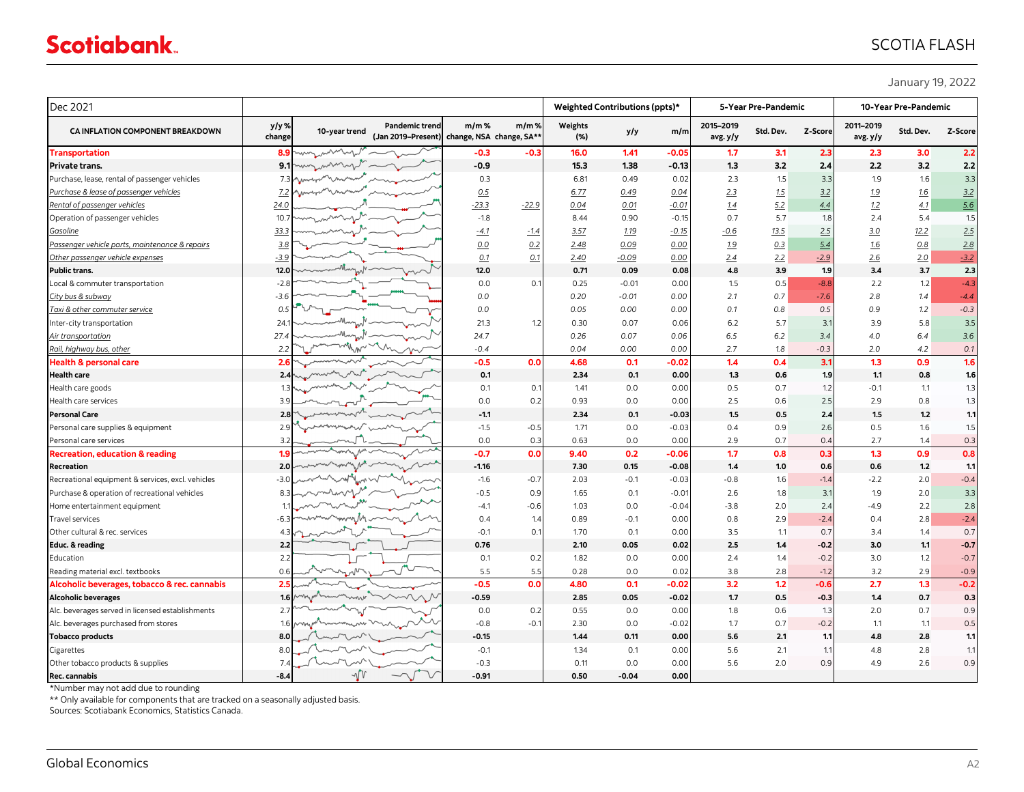### SCOTIA FLASH

January 19, 2022

| y/y%<br><b>Pandemic trend</b><br>$m/m$ %<br>$m/m$ %<br>Weights<br>2015-2019<br>2011-2019<br>CA INFLATION COMPONENT BREAKDOWN<br>Z-Score<br>10-year trend<br>m/m<br>Std. Dev.<br>Std. Dev.<br>y/y<br>(Jan 2019-Present) change, NSA change, SA**<br>change<br>(%)<br>avg. y/y<br>avg.y/y<br>when<br>$-0.3$<br>16.0<br>1.41<br>1.7<br>2.3<br>2.3<br>-0.3<br>$-0.05$<br>3.1<br><b>Transportation</b><br>8.9<br>$-0.9$<br>3.2<br>2.4<br>2.2<br><b>Private trans.</b><br>15.3<br>1.38<br>$-0.13$<br>1.3<br>9.1<br>when in<br>Purchase, lease, rental of passenger vehicles<br>1.9<br>0.3<br>0.49<br>2.3<br>1.5<br>3.3<br>6.81<br>0.02<br>$7.3\text{k}$<br>marmo<br>Purchase & lease of passenger vehicles<br>2.3<br>1.5<br>3.2<br>1.9<br>7.2 <sub>k</sub><br>0.5<br>6.77<br>0.49<br>0.04<br>5.2<br>$-23.3$<br>1.2<br>Rental of passenger vehicles<br>$-22.9$<br>0.04<br>0.01<br>$-0.01$<br>1.4<br>4.4<br>24.0 | 3.0<br>3.2<br>1.6<br>16<br>4.1<br>5.4<br>12.2 | Z-Score |
|----------------------------------------------------------------------------------------------------------------------------------------------------------------------------------------------------------------------------------------------------------------------------------------------------------------------------------------------------------------------------------------------------------------------------------------------------------------------------------------------------------------------------------------------------------------------------------------------------------------------------------------------------------------------------------------------------------------------------------------------------------------------------------------------------------------------------------------------------------------------------------------------------------|-----------------------------------------------|---------|
|                                                                                                                                                                                                                                                                                                                                                                                                                                                                                                                                                                                                                                                                                                                                                                                                                                                                                                          |                                               |         |
|                                                                                                                                                                                                                                                                                                                                                                                                                                                                                                                                                                                                                                                                                                                                                                                                                                                                                                          |                                               | 2.2     |
|                                                                                                                                                                                                                                                                                                                                                                                                                                                                                                                                                                                                                                                                                                                                                                                                                                                                                                          |                                               | 2.2     |
|                                                                                                                                                                                                                                                                                                                                                                                                                                                                                                                                                                                                                                                                                                                                                                                                                                                                                                          |                                               | 3.3     |
|                                                                                                                                                                                                                                                                                                                                                                                                                                                                                                                                                                                                                                                                                                                                                                                                                                                                                                          |                                               | 3.2     |
|                                                                                                                                                                                                                                                                                                                                                                                                                                                                                                                                                                                                                                                                                                                                                                                                                                                                                                          |                                               | 5.6     |
| 0.7<br>5.7<br>$-1.8$<br>8.44<br>0.90<br>$-0.15$<br>1.8<br>2.4<br>Operation of passenger vehicles<br>10.7<br>wmm.                                                                                                                                                                                                                                                                                                                                                                                                                                                                                                                                                                                                                                                                                                                                                                                         |                                               | 1.5     |
| 2.5<br>3.0<br><u>Gasoline</u><br>33.3<br>$-4.1$<br>3.57<br>1.19<br>$-0.15$<br>$-0.6$<br><u>13.5</u><br>$-1.4$                                                                                                                                                                                                                                                                                                                                                                                                                                                                                                                                                                                                                                                                                                                                                                                            |                                               | 2.5     |
| 0.2<br>0.00<br>0.3<br>Passenger vehicle parts, maintenance & repairs<br>3.8<br>0.0<br>2.48<br>0.09<br>1.9<br>5.4<br>16                                                                                                                                                                                                                                                                                                                                                                                                                                                                                                                                                                                                                                                                                                                                                                                   | 0.8                                           | 2.8     |
| Other passenger vehicle expenses<br>0.1<br>0.1<br>0.00<br>2.4<br>2.2<br>2.6<br>$-3.9$<br>2.40<br>$-0.09$<br>$-2.9$                                                                                                                                                                                                                                                                                                                                                                                                                                                                                                                                                                                                                                                                                                                                                                                       | 2.0                                           | $-3.2$  |
| 4.8<br>3.9<br>3.4<br>12.0<br>0.71<br>1.9<br>Public trans.<br>12.0<br>0.09<br>0.08                                                                                                                                                                                                                                                                                                                                                                                                                                                                                                                                                                                                                                                                                                                                                                                                                        | 3.7                                           | 2.3     |
| 1.5<br>0.5<br>$-8.8$<br>2.2<br>Local & commuter transportation<br>$-2.8$<br>0.0<br>0.1<br>0.25<br>0.00<br>$-0.01$                                                                                                                                                                                                                                                                                                                                                                                                                                                                                                                                                                                                                                                                                                                                                                                        | 1.2                                           | $-4.3$  |
| 0.0<br>0.20<br>0.00<br>2.1<br>0.7<br>$-7.6$<br>2.8<br>City bus & subway<br>$-0.01$<br>-3.6                                                                                                                                                                                                                                                                                                                                                                                                                                                                                                                                                                                                                                                                                                                                                                                                               | 1.4                                           | $-4.4$  |
| 0.5<br>0.1<br>0.9<br>Taxi & other commuter service<br>0.5<br>0.0<br>0.05<br>0.00<br>0.00<br>0.8                                                                                                                                                                                                                                                                                                                                                                                                                                                                                                                                                                                                                                                                                                                                                                                                          | 1.2                                           | $-0.3$  |
| 3.1<br>21.3<br>1.2<br>0.30<br>0.07<br>0.06<br>6.2<br>5.7<br>3.9<br>Inter-city transportation<br>24.                                                                                                                                                                                                                                                                                                                                                                                                                                                                                                                                                                                                                                                                                                                                                                                                      | 5.8                                           | 3.5     |
| 0.07<br>6.5<br>6.2<br>3.4<br>4.0<br>Air transportation<br>24.7<br>0.26<br>0.06<br>27.4                                                                                                                                                                                                                                                                                                                                                                                                                                                                                                                                                                                                                                                                                                                                                                                                                   | 6.4                                           | 3.6     |
| 0.04<br>0.00<br>0.00<br>2.7<br>2.0<br>Rail, highway bus, other<br>2.2<br>$-0.4$<br>1.8<br>$-0.3$                                                                                                                                                                                                                                                                                                                                                                                                                                                                                                                                                                                                                                                                                                                                                                                                         | 4.2                                           | 0.1     |
| <b>Health &amp; personal care</b><br>$-0.5$<br>1.4<br>0.4<br>3.1<br>1.3<br>2.6<br>0.0<br>4.68<br>0.1<br>$-0.02$                                                                                                                                                                                                                                                                                                                                                                                                                                                                                                                                                                                                                                                                                                                                                                                          | 0.9                                           | 1.6     |
| 0.1<br>1.3<br>1.1<br><b>Health care</b><br>2.34<br>0.1<br>0.00<br>0.6<br>1.9<br>2.4                                                                                                                                                                                                                                                                                                                                                                                                                                                                                                                                                                                                                                                                                                                                                                                                                      | 0.8                                           | 1.6     |
| 0.1<br>0.5<br>$-0.1$<br>Health care goods<br>0.1<br>1.41<br>0.0<br>0.00<br>0.7<br>1.2                                                                                                                                                                                                                                                                                                                                                                                                                                                                                                                                                                                                                                                                                                                                                                                                                    | 1.1                                           | 1.3     |
| 2.5<br>0.0<br>0.2<br>0.93<br>0.0<br>0.0C<br>2.5<br>2.9<br>Health care services<br>0.6<br>3.9                                                                                                                                                                                                                                                                                                                                                                                                                                                                                                                                                                                                                                                                                                                                                                                                             | 0.8                                           | 1.3     |
| 1.5<br>1.5<br><b>Personal Care</b><br>$-1.1$<br>2.34<br>0.1<br>$-0.03$<br>0.5<br>2.4<br>2.8                                                                                                                                                                                                                                                                                                                                                                                                                                                                                                                                                                                                                                                                                                                                                                                                              | 1.2                                           | 1.1     |
| $-1.5$<br>2.6<br>0.5<br>Personal care supplies & equipment<br>$-0.5$<br>1.71<br>0.0<br>$-0.03$<br>0.4<br>0.9<br>2.9                                                                                                                                                                                                                                                                                                                                                                                                                                                                                                                                                                                                                                                                                                                                                                                      | 1.6                                           | 1.5     |
| 0.0<br>0.3<br>0.63<br>0.0<br>0.00<br>2.9<br>0.7<br>0.4<br>2.7<br>Personal care services<br>3.2                                                                                                                                                                                                                                                                                                                                                                                                                                                                                                                                                                                                                                                                                                                                                                                                           | 1.4                                           | 0.3     |
| 0.0<br>1.7<br>1.3<br>$-0.7$<br>9.40<br>0.2<br>0.8<br>0.3<br>$-0.06$<br><b>Recreation, education &amp; reading</b><br>1.9                                                                                                                                                                                                                                                                                                                                                                                                                                                                                                                                                                                                                                                                                                                                                                                 | 0.9                                           | 0.8     |
| 1.4<br>0.6<br>$-1.16$<br>7.30<br>0.15<br>$-0.08$<br>1.0<br>0.6<br>Recreation<br>2.0                                                                                                                                                                                                                                                                                                                                                                                                                                                                                                                                                                                                                                                                                                                                                                                                                      | 1.2                                           | 1.1     |
| $-0.7$<br>$-0.8$<br>$-1.4$<br>$-2.2$<br>Recreational equipment & services, excl. vehicles<br>$-1.6$<br>2.03<br>$-0.1$<br>$-0.03$<br>1.6                                                                                                                                                                                                                                                                                                                                                                                                                                                                                                                                                                                                                                                                                                                                                                  | 2.0                                           | $-0.4$  |
| Purchase & operation of recreational vehicles<br>$-0.5$<br>0.9<br>1.65<br>0.1<br>$-0.01$<br>2.6<br>1.8<br>3.1<br>1.9<br>mhann.<br>8.3                                                                                                                                                                                                                                                                                                                                                                                                                                                                                                                                                                                                                                                                                                                                                                    | 2.0                                           | 3.3     |
| $-4.1$<br>$-0.6$<br>$-3.8$<br>2.4<br>$-4.9$<br>Home entertainment equipment<br>1.03<br>0.0<br>$-0.04$<br>2.0                                                                                                                                                                                                                                                                                                                                                                                                                                                                                                                                                                                                                                                                                                                                                                                             | 2.2                                           | 2.8     |
| 1.4<br>0.89<br>2.9<br>$-2.4$<br>0.4<br>$-0.1$<br>0.00<br>0.8<br>0.4<br><b>Travel services</b>                                                                                                                                                                                                                                                                                                                                                                                                                                                                                                                                                                                                                                                                                                                                                                                                            | 2.8                                           | $-2.4$  |
| $-0.1$<br>0.1<br>0.1<br>0.00<br>3.5<br>0.7<br>3.4<br>Other cultural & rec. services<br>1.70<br>1.1<br>4.3                                                                                                                                                                                                                                                                                                                                                                                                                                                                                                                                                                                                                                                                                                                                                                                                | 1.4                                           | 0.7     |
| 2.5<br>0.76<br>3.0<br>Educ. & reading<br>2.2<br>2.10<br>0.05<br>0.02<br>1.4<br>$-0.2$                                                                                                                                                                                                                                                                                                                                                                                                                                                                                                                                                                                                                                                                                                                                                                                                                    | 1.1                                           | $-0.7$  |
| 2.2<br>Education<br>0.1<br>0.2<br>1.82<br>0.0<br>0.00<br>2.4<br>$-0.2$<br>3.0<br>1.4                                                                                                                                                                                                                                                                                                                                                                                                                                                                                                                                                                                                                                                                                                                                                                                                                     | 1.2                                           | $-0.7$  |
| 5.5<br>5.5<br>0.28<br>0.0<br>0.02<br>3.8<br>2.8<br>3.2<br>Reading material excl. textbooks<br>0.6<br>$-1.2$                                                                                                                                                                                                                                                                                                                                                                                                                                                                                                                                                                                                                                                                                                                                                                                              | 2.9                                           | $-0.9$  |
| $-0.5$<br>4.80<br>3.2<br>2.7<br>2.5<br>0.0<br>0.1<br>$-0.02$<br>1.2<br>$-0.6$<br>Alcoholic beverages, tobacco & rec. cannabis                                                                                                                                                                                                                                                                                                                                                                                                                                                                                                                                                                                                                                                                                                                                                                            | 1.3                                           | $-0.2$  |
| $-0.59$<br>1.7<br>1.4<br><b>Alcoholic beverages</b><br>2.85<br>0.05<br>$-0.02$<br>0.5<br>$-0.3$<br>1.6                                                                                                                                                                                                                                                                                                                                                                                                                                                                                                                                                                                                                                                                                                                                                                                                   | 0.7                                           | 0.3     |
| 0.0<br>0.55<br>0.0<br>1.8<br>2.0<br>Alc. beverages served in licensed establishments<br>0.2<br>0.00<br>0.6<br>1.3<br>2.7                                                                                                                                                                                                                                                                                                                                                                                                                                                                                                                                                                                                                                                                                                                                                                                 | 0.7                                           | 0.9     |
| Alc. beverages purchased from stores<br>$-0.8$<br>$-0.1$<br>1.7<br>1.1<br>2.30<br>0.0<br>$-0.02$<br>0.7<br>$-0.2$<br>16                                                                                                                                                                                                                                                                                                                                                                                                                                                                                                                                                                                                                                                                                                                                                                                  | 1.1                                           | 0.5     |
| <b>Tobacco products</b><br>$-0.15$<br>0.11<br>0.00<br>5.6<br>1.1<br>1.44<br>2.1<br>4.8<br>8.0                                                                                                                                                                                                                                                                                                                                                                                                                                                                                                                                                                                                                                                                                                                                                                                                            | 2.8                                           | 1.1     |
| 5.6<br>Cigarettes<br>$-0.1$<br>1.34<br>0.1<br>0.00<br>2.1<br>4.8<br>8.0<br>1.1                                                                                                                                                                                                                                                                                                                                                                                                                                                                                                                                                                                                                                                                                                                                                                                                                           | 2.8                                           | 1.1     |
| $-0.3$<br>5.6<br>4.9<br>Other tobacco products & supplies<br>7.4<br>0.11<br>0.0<br>0.00<br>2.0<br>0.9                                                                                                                                                                                                                                                                                                                                                                                                                                                                                                                                                                                                                                                                                                                                                                                                    | 2.6                                           | 0.9     |
| $\sqrt{V}$<br>0.00<br>$-8.4$<br>$-0.91$<br>0.50<br>$-0.04$<br>Rec. cannabis                                                                                                                                                                                                                                                                                                                                                                                                                                                                                                                                                                                                                                                                                                                                                                                                                              |                                               |         |

\*Number may not add due to rounding

\*\* Only available for components that are tracked on a seasonally adjusted basis.

Sources: Scotiabank Economics, Statistics Canada.